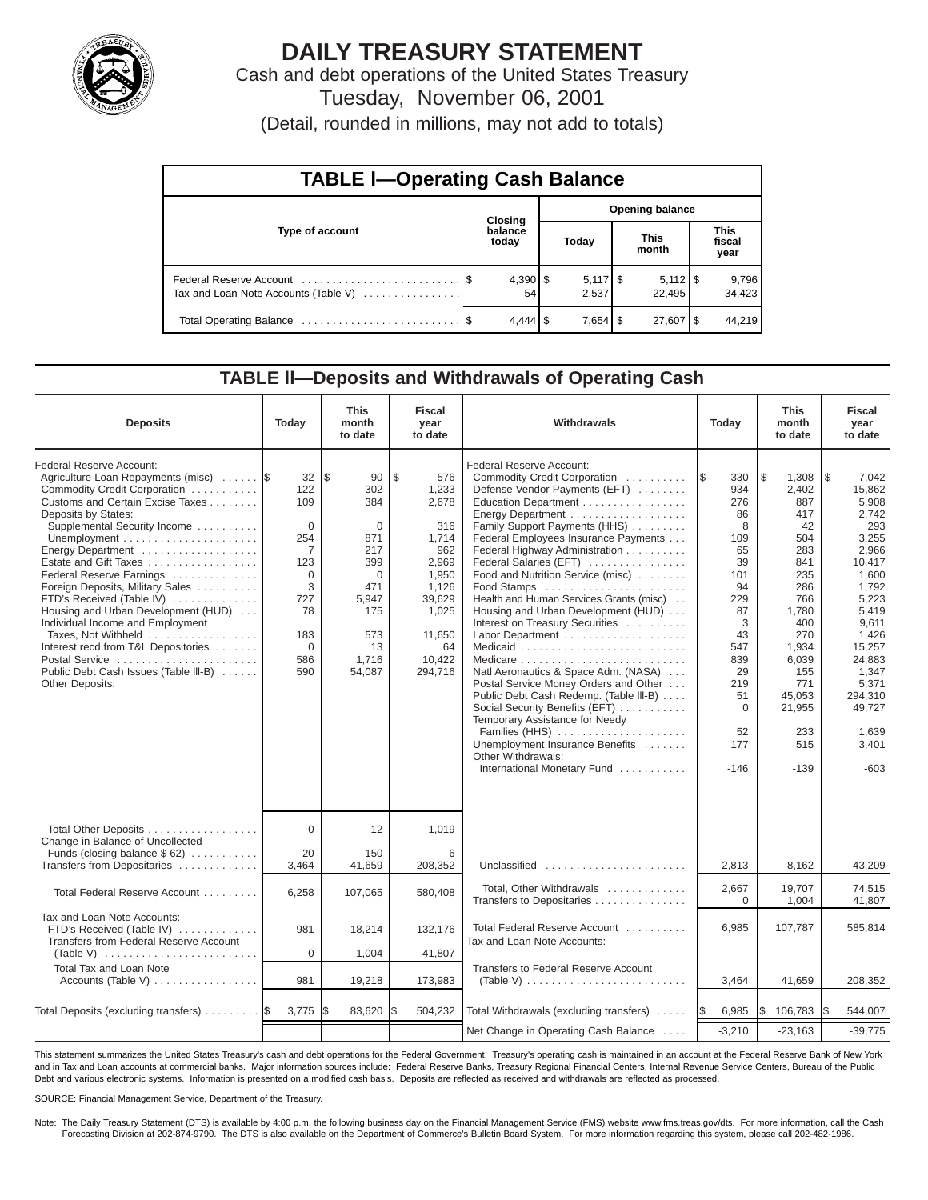

# **DAILY TREASURY STATEMENT**

Cash and debt operations of the United States Treasury Tuesday, November 06, 2001

(Detail, rounded in millions, may not add to totals)

| <b>TABLE I-Operating Cash Balance</b> |  |                       |  |                        |  |                                 |  |                               |  |  |
|---------------------------------------|--|-----------------------|--|------------------------|--|---------------------------------|--|-------------------------------|--|--|
|                                       |  | <b>Closing</b>        |  | <b>Opening balance</b> |  |                                 |  |                               |  |  |
| Type of account                       |  | balance<br>today      |  | Today                  |  | <b>This</b><br>month            |  | <b>This</b><br>fiscal<br>year |  |  |
| Tax and Loan Note Accounts (Table V)  |  | 54                    |  | $5,117$ \$<br>2,537    |  | $5,112$ $\frac{1}{3}$<br>22.495 |  | 9,796<br>34,423               |  |  |
|                                       |  | $4,444$ $\frac{1}{9}$ |  |                        |  | 27,607   \$                     |  | 44,219                        |  |  |

#### **TABLE ll—Deposits and Withdrawals of Operating Cash**

| <b>Deposits</b>                                                                                                                                                                                                                                                                                                                                                                                                                                                                                                                                                        | Today                                                                                                                       | <b>This</b><br>month<br>to date                                                                                             | Fiscal<br>year<br>to date                                                                                                                         | <b>Withdrawals</b>                                                                                                                                                                                                                                                                                                                                                                                                                                                                                                                                                                                                                                                                                                                       | Today                                                                                                                                                           | <b>This</b><br>month<br>to date                                                                                                                                                        | <b>Fiscal</b><br>year<br>to date                                                                                                                                                                                          |
|------------------------------------------------------------------------------------------------------------------------------------------------------------------------------------------------------------------------------------------------------------------------------------------------------------------------------------------------------------------------------------------------------------------------------------------------------------------------------------------------------------------------------------------------------------------------|-----------------------------------------------------------------------------------------------------------------------------|-----------------------------------------------------------------------------------------------------------------------------|---------------------------------------------------------------------------------------------------------------------------------------------------|------------------------------------------------------------------------------------------------------------------------------------------------------------------------------------------------------------------------------------------------------------------------------------------------------------------------------------------------------------------------------------------------------------------------------------------------------------------------------------------------------------------------------------------------------------------------------------------------------------------------------------------------------------------------------------------------------------------------------------------|-----------------------------------------------------------------------------------------------------------------------------------------------------------------|----------------------------------------------------------------------------------------------------------------------------------------------------------------------------------------|---------------------------------------------------------------------------------------------------------------------------------------------------------------------------------------------------------------------------|
| Federal Reserve Account:<br>Agriculture Loan Repayments (misc)  \$<br>Commodity Credit Corporation<br>Customs and Certain Excise Taxes<br>Deposits by States:<br>Supplemental Security Income<br>Energy Department<br>Estate and Gift Taxes<br>Federal Reserve Earnings<br>Foreign Deposits, Military Sales<br>FTD's Received (Table IV)<br>Housing and Urban Development (HUD)<br>Individual Income and Employment<br>Taxes, Not Withheld<br>Interest recd from T&L Depositories<br>Postal Service<br>Public Debt Cash Issues (Table III-B)<br><b>Other Deposits:</b> | 32<br>122<br>109<br>$\Omega$<br>254<br>$\overline{7}$<br>123<br>$\Omega$<br>3<br>727<br>78<br>183<br>$\Omega$<br>586<br>590 | l\$<br>90<br>302<br>384<br>$\Omega$<br>871<br>217<br>399<br>$\Omega$<br>471<br>5,947<br>175<br>573<br>13<br>1,716<br>54,087 | $\mathfrak{L}$<br>576<br>1,233<br>2,678<br>316<br>1,714<br>962<br>2.969<br>1,950<br>1,126<br>39,629<br>1,025<br>11,650<br>64<br>10.422<br>294,716 | Federal Reserve Account:<br>Commodity Credit Corporation<br>Defense Vendor Payments (EFT)<br>Education Department<br>Family Support Payments (HHS)<br>Federal Employees Insurance Payments<br>Federal Highway Administration<br>Federal Salaries (EFT)<br>Food and Nutrition Service (misc)<br>Food Stamps<br>Health and Human Services Grants (misc)<br>Housing and Urban Development (HUD)<br>Interest on Treasury Securities<br>Natl Aeronautics & Space Adm. (NASA)<br>Postal Service Money Orders and Other<br>Public Debt Cash Redemp. (Table III-B)<br>Social Security Benefits (EFT)<br>Temporary Assistance for Needy<br>Families (HHS)<br>Unemployment Insurance Benefits<br>Other Withdrawals:<br>International Monetary Fund | 1\$<br>330<br>934<br>276<br>86<br>8<br>109<br>65<br>39<br>101<br>94<br>229<br>87<br>3<br>43<br>547<br>839<br>29<br>219<br>51<br>$\Omega$<br>52<br>177<br>$-146$ | l\$<br>1.308<br>2,402<br>887<br>417<br>42<br>504<br>283<br>841<br>235<br>286<br>766<br>1,780<br>400<br>270<br>1.934<br>6,039<br>155<br>771<br>45.053<br>21,955<br>233<br>515<br>$-139$ | l \$<br>7.042<br>15.862<br>5,908<br>2,742<br>293<br>3,255<br>2,966<br>10.417<br>1,600<br>1,792<br>5,223<br>5,419<br>9,611<br>1,426<br>15,257<br>24.883<br>1.347<br>5,371<br>294.310<br>49.727<br>1,639<br>3,401<br>$-603$ |
| Total Other Deposits<br>Change in Balance of Uncollected<br>Funds (closing balance \$62)<br>Transfers from Depositaries                                                                                                                                                                                                                                                                                                                                                                                                                                                | $\Omega$<br>$-20$                                                                                                           | 12<br>150                                                                                                                   | 1,019<br>6<br>208,352                                                                                                                             | Unclassified                                                                                                                                                                                                                                                                                                                                                                                                                                                                                                                                                                                                                                                                                                                             |                                                                                                                                                                 |                                                                                                                                                                                        |                                                                                                                                                                                                                           |
| Total Federal Reserve Account                                                                                                                                                                                                                                                                                                                                                                                                                                                                                                                                          | 3,464<br>6,258                                                                                                              | 41,659<br>107,065                                                                                                           | 580,408                                                                                                                                           | Total, Other Withdrawals                                                                                                                                                                                                                                                                                                                                                                                                                                                                                                                                                                                                                                                                                                                 | 2,813<br>2,667                                                                                                                                                  | 8,162<br>19.707                                                                                                                                                                        | 43,209<br>74,515                                                                                                                                                                                                          |
| Tax and Loan Note Accounts:<br>FTD's Received (Table IV)<br>Transfers from Federal Reserve Account                                                                                                                                                                                                                                                                                                                                                                                                                                                                     | 981<br>$\Omega$                                                                                                             | 18,214<br>1,004                                                                                                             | 132,176<br>41,807                                                                                                                                 | Transfers to Depositaries<br>Total Federal Reserve Account<br>Tax and Loan Note Accounts:                                                                                                                                                                                                                                                                                                                                                                                                                                                                                                                                                                                                                                                | $\Omega$<br>6,985                                                                                                                                               | 1,004<br>107,787                                                                                                                                                                       | 41.807<br>585,814                                                                                                                                                                                                         |
| <b>Total Tax and Loan Note</b>                                                                                                                                                                                                                                                                                                                                                                                                                                                                                                                                         | 981                                                                                                                         | 19,218                                                                                                                      | 173,983                                                                                                                                           | Transfers to Federal Reserve Account<br>$(Table V) \ldots \ldots \ldots \ldots \ldots \ldots \ldots \ldots$                                                                                                                                                                                                                                                                                                                                                                                                                                                                                                                                                                                                                              | 3,464                                                                                                                                                           | 41,659                                                                                                                                                                                 | 208,352                                                                                                                                                                                                                   |
| Total Deposits (excluding transfers) 5                                                                                                                                                                                                                                                                                                                                                                                                                                                                                                                                 | 3,775                                                                                                                       | 83,620                                                                                                                      | 504,232                                                                                                                                           | Total Withdrawals (excluding transfers)                                                                                                                                                                                                                                                                                                                                                                                                                                                                                                                                                                                                                                                                                                  | 6,985<br>I\$                                                                                                                                                    | l\$<br>106,783                                                                                                                                                                         | 544,007                                                                                                                                                                                                                   |
|                                                                                                                                                                                                                                                                                                                                                                                                                                                                                                                                                                        |                                                                                                                             |                                                                                                                             |                                                                                                                                                   | Net Change in Operating Cash Balance                                                                                                                                                                                                                                                                                                                                                                                                                                                                                                                                                                                                                                                                                                     | $-3,210$                                                                                                                                                        | $-23,163$                                                                                                                                                                              | $-39.775$                                                                                                                                                                                                                 |

This statement summarizes the United States Treasury's cash and debt operations for the Federal Government. Treasury's operating cash is maintained in an account at the Federal Reserve Bank of New York and in Tax and Loan accounts at commercial banks. Major information sources include: Federal Reserve Banks, Treasury Regional Financial Centers, Internal Revenue Service Centers, Bureau of the Public Debt and various electronic systems. Information is presented on a modified cash basis. Deposits are reflected as received and withdrawals are reflected as processed.

SOURCE: Financial Management Service, Department of the Treasury.

Note: The Daily Treasury Statement (DTS) is available by 4:00 p.m. the following business day on the Financial Management Service (FMS) website www.fms.treas.gov/dts. For more information, call the Cash Forecasting Division at 202-874-9790. The DTS is also available on the Department of Commerce's Bulletin Board System. For more information regarding this system, please call 202-482-1986.